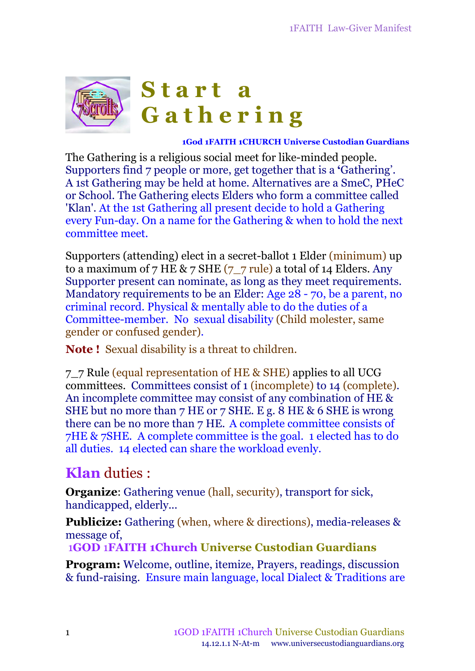

#### **1God 1FAITH 1CHURCH Universe Custodian Guardians**

The Gathering is a religious social meet for like-minded people. Supporters find 7 people or more, get together that is a **'**Gathering'. A 1st Gathering may be held at home. Alternatives are a SmeC, PHeC or School. The Gathering elects Elders who form a committee called 'Klan'. At the 1st Gathering all present decide to hold a Gathering every Fun-day. On a name for the Gathering & when to hold the next committee meet.

Supporters (attending) elect in a secret-ballot 1 Elder (minimum) up to a maximum of 7 HE & 7 SHE  $(7 - 7$  rule) a total of 14 Elders. Any Supporter present can nominate, as long as they meet requirements. Mandatory requirements to be an Elder: Age 28 - 70, be a parent, no criminal record. Physical & mentally able to do the duties of a Committee-member. No sexual disability (Child molester, same gender or confused gender).

**Note !** Sexual disability is a threat to children.

7\_7 Rule (equal representation of HE & SHE) applies to all UCG committees. Committees consist of 1 (incomplete) to 14 (complete). An incomplete committee may consist of any combination of HE & SHE but no more than 7 HE or 7 SHE. E g. 8 HE & 6 SHE is wrong there can be no more than 7 HE. A complete committee consists of 7HE & 7SHE. A complete committee is the goal. 1 elected has to do all duties. 14 elected can share the workload evenly.

### **Klan** duties :

**Organize:** Gathering venue (hall, security), transport for sick, handicapped, elderly...

**Publicize:** Gathering (when, where & directions), media-releases & message of,

1**GOD** 1**FAITH 1Church Universe Custodian Guardians**

**Program:** Welcome, outline, itemize, Prayers, readings, discussion & fund-raising. Ensure main language, local Dialect & Traditions are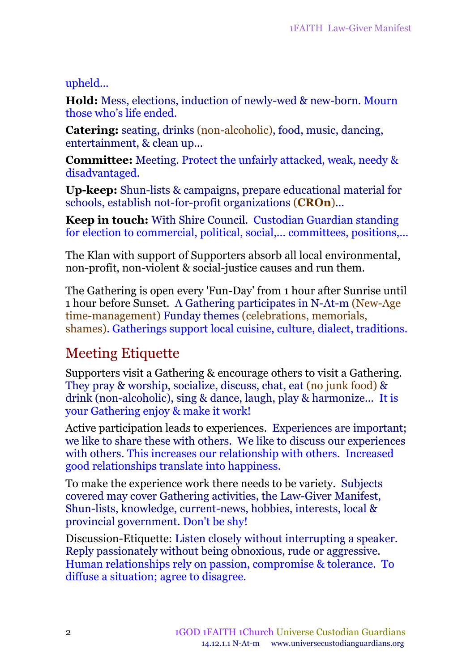### upheld...

**Hold:** Mess, elections, induction of newly-wed & new-born. Mourn those who's life ended.

**Catering:** seating, drinks (non-alcoholic), food, music, dancing, entertainment, & clean up...

**Committee:** Meeting. Protect the unfairly attacked, weak, needy & disadvantaged.

**Up-keep:** Shun-lists & campaigns, prepare educational material for schools, establish not-for-profit organizations (**CROn**)...

**Keep in touch:** With Shire Council. Custodian Guardian standing for election to commercial, political, social,... committees, positions,...

The Klan with support of Supporters absorb all local environmental, non-profit, non-violent & social-justice causes and run them.

The Gathering is open every 'Fun-Day' from 1 hour after Sunrise until 1 hour before Sunset. A Gathering participates in N-At-m (New-Age time-management) Funday themes (celebrations, memorials, shames). Gatherings support local cuisine, culture, dialect, traditions.

### Meeting Etiquette

Supporters visit a Gathering & encourage others to visit a Gathering. They pray & worship, socialize, discuss, chat, eat (no junk food) & drink (non-alcoholic), sing & dance, laugh, play & harmonize... It is your Gathering enjoy & make it work!

Active participation leads to experiences. Experiences are important; we like to share these with others. We like to discuss our experiences with others. This increases our relationship with others. Increased good relationships translate into happiness.

To make the experience work there needs to be variety. Subjects covered may cover Gathering activities, the Law-Giver Manifest, Shun-lists, knowledge, current-news, hobbies, interests, local & provincial government. Don't be shy!

Discussion-Etiquette: Listen closely without interrupting a speaker. Reply passionately without being obnoxious, rude or aggressive. Human relationships rely on passion, compromise & tolerance. To diffuse a situation; agree to disagree.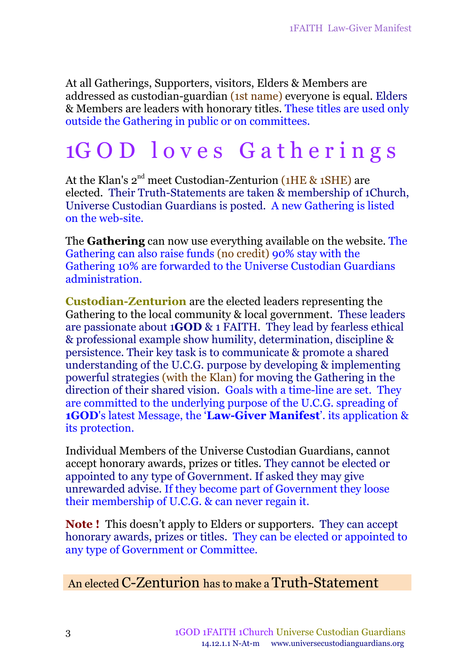At all Gatherings, Supporters, visitors, [Elders](file://C:/Users/Workventures/Documents/ApD17/1FAITH/../My Web Sites/message/klan.htm) & Members are addressed as custodian-guardian (1st name) everyone is equal*.* Elders & Members are leaders with honorary titles. These titles are used only outside the Gathering in public or on committees.

## 1G O D l o v e s G a t h e r i n g s

At the Klan's 2<sup>nd</sup> meet Custodian-Zenturion (1HE & 1SHE) are elected. Their Truth-Statements are taken & membership of 1Church, Universe Custodian Guardians is posted. A new Gathering is listed on the web-site.

The **Gathering** can now use everything available on the website. The Gathering can also raise funds (no credit) 90% stay with the Gathering 10% are forwarded to the Universe Custodian Guardians administration.

**Custodian-Zenturion** are the elected leaders representing the Gathering to the local community & local government. These leaders are passionate about 1**GOD** & 1 FAITH. They lead by fearless ethical & professional example show humility, determination, discipline & persistence. Their key task is to communicate & promote a shared understanding of the U.C.G. purpose by developing & implementing powerful strategies (with the Klan) for moving the Gathering in the direction of their shared vision. Goals with a time-line are set. They are committed to the underlying purpose of the U.C.G. spreading of **1GOD**'s latest Message, the '**Law-Giver Manifest**'. its application & its protection.

Individual Members of the Universe Custodian Guardians, cannot accept honorary awards, prizes or titles. They cannot be elected or appointed to any type of Government. If asked they may give unrewarded advise. If they become part of Government they loose their membership of U.C.G. & can never regain it.

**Note !** This doesn't apply to Elders or supporters. They can accept honorary awards, prizes or titles. They can be elected or appointed to any type of Government or Committee.

### An elected C-Zenturion has to make a Truth-Statement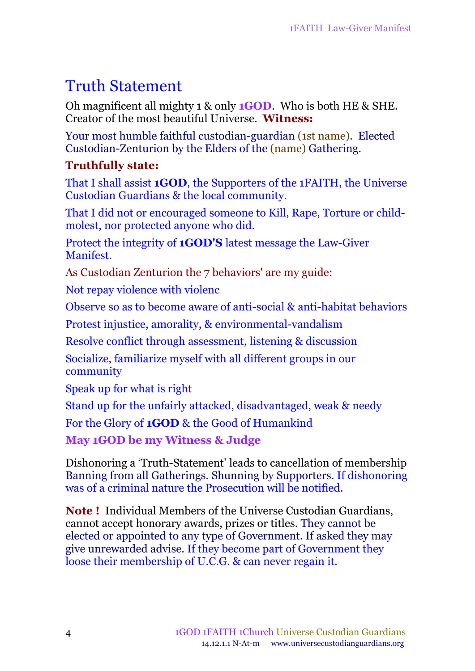## Truth Statement

Oh magnificent all mighty 1 & only **1GOD**. Who is both HE & SHE. Creator of the most beautiful Universe. **Witness:**

Your most humble faithful custodian-guardian (1st name). Elected Custodian-Zenturion by the Elders of the (name) Gathering.

### **Truthfully state:**

That I shall assist **1GOD**, the Supporters of the 1FAITH, the Universe Custodian Guardians & the local community.

That I did not or encouraged someone to Kill, Rape, Torture or childmolest, nor protected anyone who did.

Protect the integrity of **1GOD'S** latest message the Law-Giver Manifest.

As Custodian Zenturion the 7 behaviors' are my guide:

Not repay violence with violenc

Observe so as to become aware of anti-social & anti-habitat behaviors

Protest injustice, amorality, & environmental-vandalism

Resolve conflict through assessment, listening & discussion

Socialize, familiarize myself with all different groups in our community

Speak up for what is right

Stand up for the unfairly attacked, disadvantaged, weak & needy

For the Glory of **1GOD** & the Good of Humankind

**May 1GOD be my Witness & Judge**

Dishonoring a 'Truth-Statement' leads to cancellation of membership Banning from all Gatherings. Shunning by Supporters. If dishonoring was of a criminal nature the Prosecution will be notified.

**Note !** Individual Members of the Universe Custodian Guardians, cannot accept honorary awards, prizes or titles. They cannot be elected or appointed to any type of Government. If asked they may give unrewarded advise. If they become part of Government they loose their membership of U.C.G. & can never regain it.